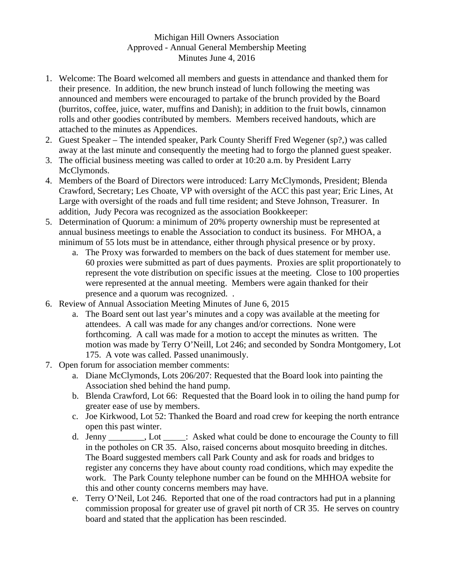## Michigan Hill Owners Association Approved - Annual General Membership Meeting Minutes June 4, 2016

- 1. Welcome: The Board welcomed all members and guests in attendance and thanked them for their presence. In addition, the new brunch instead of lunch following the meeting was announced and members were encouraged to partake of the brunch provided by the Board (burritos, coffee, juice, water, muffins and Danish); in addition to the fruit bowls, cinnamon rolls and other goodies contributed by members. Members received handouts, which are attached to the minutes as Appendices.
- 2. Guest Speaker The intended speaker, Park County Sheriff Fred Wegener (sp?,) was called away at the last minute and consequently the meeting had to forgo the planned guest speaker.
- 3. The official business meeting was called to order at 10:20 a.m. by President Larry McClymonds.
- 4. Members of the Board of Directors were introduced: Larry McClymonds, President; Blenda Crawford, Secretary; Les Choate, VP with oversight of the ACC this past year; Eric Lines, At Large with oversight of the roads and full time resident; and Steve Johnson, Treasurer. In addition, Judy Pecora was recognized as the association Bookkeeper:
- 5. Determination of Quorum: a minimum of 20% property ownership must be represented at annual business meetings to enable the Association to conduct its business. For MHOA, a minimum of 55 lots must be in attendance, either through physical presence or by proxy.
	- a. The Proxy was forwarded to members on the back of dues statement for member use. 60 proxies were submitted as part of dues payments. Proxies are split proportionately to represent the vote distribution on specific issues at the meeting. Close to 100 properties were represented at the annual meeting. Members were again thanked for their presence and a quorum was recognized. .
- 6. Review of Annual Association Meeting Minutes of June 6, 2015
	- a. The Board sent out last year's minutes and a copy was available at the meeting for attendees. A call was made for any changes and/or corrections. None were forthcoming. A call was made for a motion to accept the minutes as written. The motion was made by Terry O'Neill, Lot 246; and seconded by Sondra Montgomery, Lot 175. A vote was called. Passed unanimously.
- 7. Open forum for association member comments:
	- a. Diane McClymonds, Lots 206/207: Requested that the Board look into painting the Association shed behind the hand pump.
	- b. Blenda Crawford, Lot 66: Requested that the Board look in to oiling the hand pump for greater ease of use by members.
	- c. Joe Kirkwood, Lot 52: Thanked the Board and road crew for keeping the north entrance open this past winter.
	- d. Jenny \_\_\_\_\_\_\_\_, Lot \_\_\_\_\_: Asked what could be done to encourage the County to fill in the potholes on CR 35. Also, raised concerns about mosquito breeding in ditches. The Board suggested members call Park County and ask for roads and bridges to register any concerns they have about county road conditions, which may expedite the work. The Park County telephone number can be found on the MHHOA website for this and other county concerns members may have.
	- e. Terry O'Neil, Lot 246. Reported that one of the road contractors had put in a planning commission proposal for greater use of gravel pit north of CR 35. He serves on country board and stated that the application has been rescinded.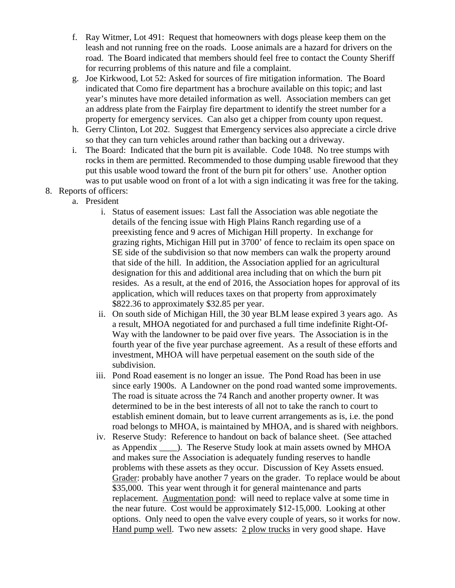- f. Ray Witmer, Lot 491: Request that homeowners with dogs please keep them on the leash and not running free on the roads. Loose animals are a hazard for drivers on the road. The Board indicated that members should feel free to contact the County Sheriff for recurring problems of this nature and file a complaint.
- g. Joe Kirkwood, Lot 52: Asked for sources of fire mitigation information. The Board indicated that Como fire department has a brochure available on this topic; and last year's minutes have more detailed information as well. Association members can get an address plate from the Fairplay fire department to identify the street number for a property for emergency services. Can also get a chipper from county upon request.
- h. Gerry Clinton, Lot 202. Suggest that Emergency services also appreciate a circle drive so that they can turn vehicles around rather than backing out a driveway.
- i. The Board: Indicated that the burn pit is available. Code 1048. No tree stumps with rocks in them are permitted. Recommended to those dumping usable firewood that they put this usable wood toward the front of the burn pit for others' use. Another option was to put usable wood on front of a lot with a sign indicating it was free for the taking.
- 8. Reports of officers:
	- a. President
		- i. Status of easement issues: Last fall the Association was able negotiate the details of the fencing issue with High Plains Ranch regarding use of a preexisting fence and 9 acres of Michigan Hill property. In exchange for grazing rights, Michigan Hill put in 3700' of fence to reclaim its open space on SE side of the subdivision so that now members can walk the property around that side of the hill. In addition, the Association applied for an agricultural designation for this and additional area including that on which the burn pit resides. As a result, at the end of 2016, the Association hopes for approval of its application, which will reduces taxes on that property from approximately \$822.36 to approximately \$32.85 per year.
		- ii. On south side of Michigan Hill, the 30 year BLM lease expired 3 years ago. As a result, MHOA negotiated for and purchased a full time indefinite Right-Of-Way with the landowner to be paid over five years. The Association is in the fourth year of the five year purchase agreement. As a result of these efforts and investment, MHOA will have perpetual easement on the south side of the subdivision.
		- iii. Pond Road easement is no longer an issue. The Pond Road has been in use since early 1900s. A Landowner on the pond road wanted some improvements. The road is situate across the 74 Ranch and another property owner. It was determined to be in the best interests of all not to take the ranch to court to establish eminent domain, but to leave current arrangements as is, i.e. the pond road belongs to MHOA, is maintained by MHOA, and is shared with neighbors.
		- iv. Reserve Study: Reference to handout on back of balance sheet. (See attached as Appendix \_\_\_\_). The Reserve Study look at main assets owned by MHOA and makes sure the Association is adequately funding reserves to handle problems with these assets as they occur. Discussion of Key Assets ensued. Grader: probably have another 7 years on the grader. To replace would be about \$35,000. This year went through it for general maintenance and parts replacement. Augmentation pond: will need to replace valve at some time in the near future. Cost would be approximately \$12-15,000. Looking at other options. Only need to open the valve every couple of years, so it works for now. Hand pump well. Two new assets: 2 plow trucks in very good shape. Have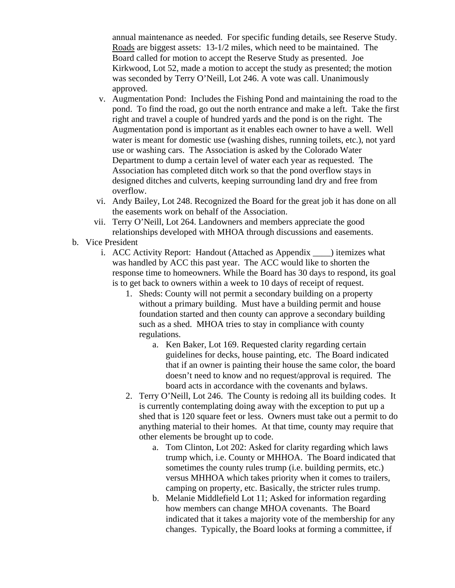annual maintenance as needed. For specific funding details, see Reserve Study. Roads are biggest assets: 13-1/2 miles, which need to be maintained. The Board called for motion to accept the Reserve Study as presented. Joe Kirkwood, Lot 52, made a motion to accept the study as presented; the motion was seconded by Terry O'Neill, Lot 246. A vote was call. Unanimously approved.

- v. Augmentation Pond: Includes the Fishing Pond and maintaining the road to the pond. To find the road, go out the north entrance and make a left. Take the first right and travel a couple of hundred yards and the pond is on the right. The Augmentation pond is important as it enables each owner to have a well. Well water is meant for domestic use (washing dishes, running toilets, etc.), not yard use or washing cars. The Association is asked by the Colorado Water Department to dump a certain level of water each year as requested. The Association has completed ditch work so that the pond overflow stays in designed ditches and culverts, keeping surrounding land dry and free from overflow.
- vi. Andy Bailey, Lot 248. Recognized the Board for the great job it has done on all the easements work on behalf of the Association.
- vii. Terry O'Neill, Lot 264. Landowners and members appreciate the good relationships developed with MHOA through discussions and easements.
- b. Vice President
	- i. ACC Activity Report: Handout (Attached as Appendix \_\_\_\_) itemizes what was handled by ACC this past year. The ACC would like to shorten the response time to homeowners. While the Board has 30 days to respond, its goal is to get back to owners within a week to 10 days of receipt of request.
		- 1. Sheds: County will not permit a secondary building on a property without a primary building. Must have a building permit and house foundation started and then county can approve a secondary building such as a shed. MHOA tries to stay in compliance with county regulations.
			- a. Ken Baker, Lot 169. Requested clarity regarding certain guidelines for decks, house painting, etc. The Board indicated that if an owner is painting their house the same color, the board doesn't need to know and no request/approval is required. The board acts in accordance with the covenants and bylaws.
		- 2. Terry O'Neill, Lot 246. The County is redoing all its building codes. It is currently contemplating doing away with the exception to put up a shed that is 120 square feet or less. Owners must take out a permit to do anything material to their homes. At that time, county may require that other elements be brought up to code.
			- a. Tom Clinton, Lot 202: Asked for clarity regarding which laws trump which, i.e. County or MHHOA. The Board indicated that sometimes the county rules trump (i.e. building permits, etc.) versus MHHOA which takes priority when it comes to trailers, camping on property, etc. Basically, the stricter rules trump.
			- b. Melanie Middlefield Lot 11; Asked for information regarding how members can change MHOA covenants. The Board indicated that it takes a majority vote of the membership for any changes. Typically, the Board looks at forming a committee, if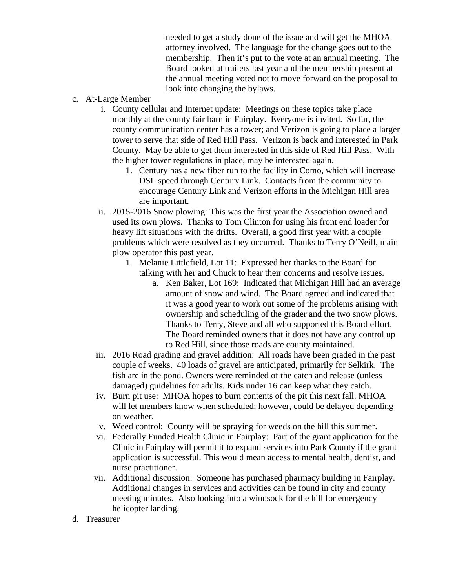needed to get a study done of the issue and will get the MHOA attorney involved. The language for the change goes out to the membership. Then it's put to the vote at an annual meeting. The Board looked at trailers last year and the membership present at the annual meeting voted not to move forward on the proposal to look into changing the bylaws.

- c. At-Large Member
	- i. County cellular and Internet update: Meetings on these topics take place monthly at the county fair barn in Fairplay. Everyone is invited. So far, the county communication center has a tower; and Verizon is going to place a larger tower to serve that side of Red Hill Pass. Verizon is back and interested in Park County. May be able to get them interested in this side of Red Hill Pass. With the higher tower regulations in place, may be interested again.
		- 1. Century has a new fiber run to the facility in Como, which will increase DSL speed through Century Link. Contacts from the community to encourage Century Link and Verizon efforts in the Michigan Hill area are important.
	- ii. 2015-2016 Snow plowing: This was the first year the Association owned and used its own plows. Thanks to Tom Clinton for using his front end loader for heavy lift situations with the drifts. Overall, a good first year with a couple problems which were resolved as they occurred. Thanks to Terry O'Neill, main plow operator this past year.
		- 1. Melanie Littlefield, Lot 11: Expressed her thanks to the Board for talking with her and Chuck to hear their concerns and resolve issues.
			- a. Ken Baker, Lot 169: Indicated that Michigan Hill had an average amount of snow and wind. The Board agreed and indicated that it was a good year to work out some of the problems arising with ownership and scheduling of the grader and the two snow plows. Thanks to Terry, Steve and all who supported this Board effort. The Board reminded owners that it does not have any control up to Red Hill, since those roads are county maintained.
	- iii. 2016 Road grading and gravel addition: All roads have been graded in the past couple of weeks. 40 loads of gravel are anticipated, primarily for Selkirk. The fish are in the pond. Owners were reminded of the catch and release (unless damaged) guidelines for adults. Kids under 16 can keep what they catch.
	- iv. Burn pit use: MHOA hopes to burn contents of the pit this next fall. MHOA will let members know when scheduled; however, could be delayed depending on weather.
	- v. Weed control: County will be spraying for weeds on the hill this summer.
	- vi. Federally Funded Health Clinic in Fairplay: Part of the grant application for the Clinic in Fairplay will permit it to expand services into Park County if the grant application is successful. This would mean access to mental health, dentist, and nurse practitioner.
	- vii. Additional discussion: Someone has purchased pharmacy building in Fairplay. Additional changes in services and activities can be found in city and county meeting minutes. Also looking into a windsock for the hill for emergency helicopter landing.
- d. Treasurer